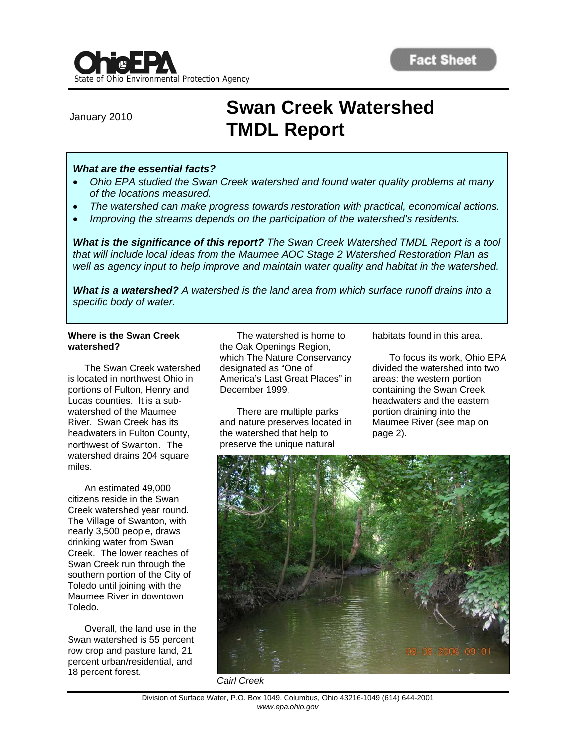



# **Swan Creek Watershed TMDL Report** January 2010

### *What are the essential facts?*

- *Ohio EPA studied the Swan Creek watershed and found water quality problems at many of the locations measured.*
- *The watershed can make progress towards restoration with practical, economical actions.*
- *Improving the streams depends on the participation of the watershed's residents.*

*What is the significance of this report? The Swan Creek Watershed TMDL Report is a tool that will include local ideas from the Maumee AOC Stage 2 Watershed Restoration Plan as well as agency input to help improve and maintain water quality and habitat in the watershed.* 

*What is a watershed? A watershed is the land area from which surface runoff drains into a specific body of water.* 

#### **Where is the Swan Creek watershed?**

 The Swan Creek watershed is located in northwest Ohio in portions of Fulton, Henry and Lucas counties. It is a subwatershed of the Maumee River. Swan Creek has its headwaters in Fulton County, northwest of Swanton. The watershed drains 204 square miles.

 An estimated 49,000 citizens reside in the Swan Creek watershed year round. The Village of Swanton, with nearly 3,500 people, draws drinking water from Swan Creek. The lower reaches of Swan Creek run through the southern portion of the City of Toledo until joining with the Maumee River in downtown Toledo.

 Overall, the land use in the Swan watershed is 55 percent row crop and pasture land, 21 percent urban/residential, and 18 percent forest.

 The watershed is home to the Oak Openings Region, which The Nature Conservancy designated as "One of America's Last Great Places" in December 1999.

 There are multiple parks and nature preserves located in the watershed that help to preserve the unique natural

habitats found in this area.

 To focus its work, Ohio EPA divided the watershed into two areas: the western portion containing the Swan Creek headwaters and the eastern portion draining into the Maumee River (see map on page 2).



*Cairl Creek*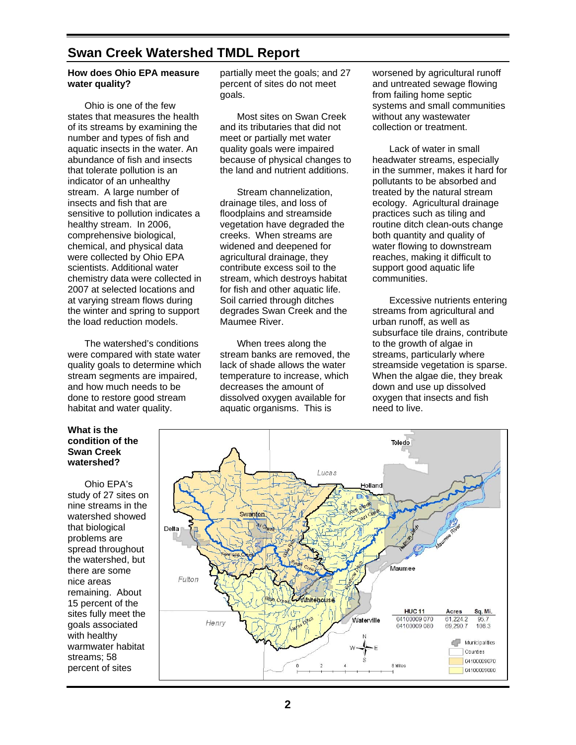### **Swan Creek Watershed TMDL Report**

### **How does Ohio EPA measure water quality?**

 Ohio is one of the few states that measures the health of its streams by examining the number and types of fish and aquatic insects in the water. An abundance of fish and insects that tolerate pollution is an indicator of an unhealthy stream. A large number of insects and fish that are sensitive to pollution indicates a healthy stream. In 2006, comprehensive biological, chemical, and physical data were collected by Ohio EPA scientists. Additional water chemistry data were collected in 2007 at selected locations and at varying stream flows during the winter and spring to support the load reduction models.

 The watershed's conditions were compared with state water quality goals to determine which stream segments are impaired, and how much needs to be done to restore good stream habitat and water quality.

### **What is the condition of the Swan Creek watershed?**

 Ohio EPA's study of 27 sites on nine streams in the watershed showed that biological problems are spread throughout the watershed, but there are some nice areas remaining. About 15 percent of the sites fully meet the goals associated with healthy warmwater habitat streams; 58 percent of sites

partially meet the goals; and 27 percent of sites do not meet goals.

 Most sites on Swan Creek and its tributaries that did not meet or partially met water quality goals were impaired because of physical changes to the land and nutrient additions.

 Stream channelization, drainage tiles, and loss of floodplains and streamside vegetation have degraded the creeks. When streams are widened and deepened for agricultural drainage, they contribute excess soil to the stream, which destroys habitat for fish and other aquatic life. Soil carried through ditches degrades Swan Creek and the Maumee River.

 When trees along the stream banks are removed, the lack of shade allows the water temperature to increase, which decreases the amount of dissolved oxygen available for aquatic organisms. This is

worsened by agricultural runoff and untreated sewage flowing from failing home septic systems and small communities without any wastewater collection or treatment.

 Lack of water in small headwater streams, especially in the summer, makes it hard for pollutants to be absorbed and treated by the natural stream ecology. Agricultural drainage practices such as tiling and routine ditch clean-outs change both quantity and quality of water flowing to downstream reaches, making it difficult to support good aquatic life communities.

Excessive nutrients entering streams from agricultural and urban runoff, as well as subsurface tile drains, contribute to the growth of algae in streams, particularly where streamside vegetation is sparse. When the algae die, they break down and use up dissolved oxygen that insects and fish need to live.

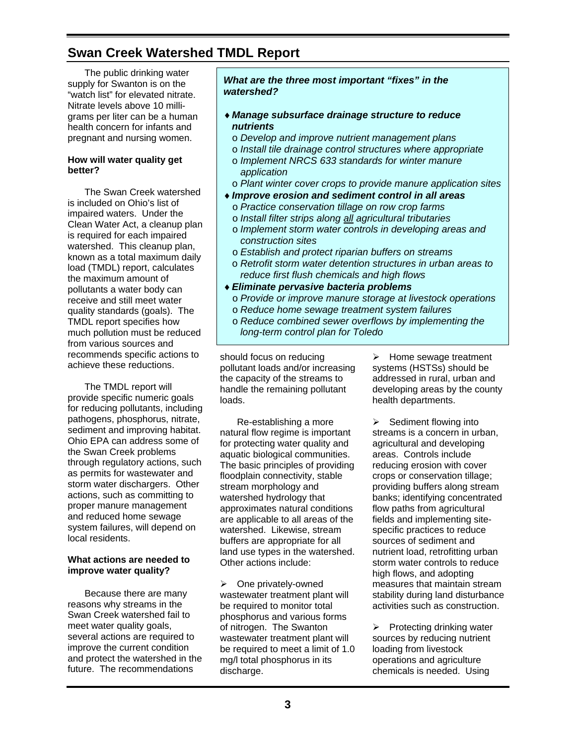# **Swan Creek Watershed TMDL Report**

The public drinking water supply for Swanton is on the "watch list" for elevated nitrate. Nitrate levels above 10 milligrams per liter can be a human health concern for infants and pregnant and nursing women.

### **How will water quality get better?**

 The Swan Creek watershed is included on Ohio's list of impaired waters. Under the Clean Water Act, a cleanup plan is required for each impaired watershed. This cleanup plan, known as a total maximum daily load (TMDL) report, calculates the maximum amount of pollutants a water body can receive and still meet water quality standards (goals). The TMDL report specifies how much pollution must be reduced from various sources and recommends specific actions to achieve these reductions.

 The TMDL report will provide specific numeric goals for reducing pollutants, including pathogens, phosphorus, nitrate, sediment and improving habitat. Ohio EPA can address some of the Swan Creek problems through regulatory actions, such as permits for wastewater and storm water dischargers. Other actions, such as committing to proper manure management and reduced home sewage system failures, will depend on local residents.

### **What actions are needed to improve water quality?**

Because there are many reasons why streams in the Swan Creek watershed fail to meet water quality goals, several actions are required to improve the current condition and protect the watershed in the future. The recommendations

*What are the three most important "fixes" in the watershed?* 

- *Manage subsurface drainage structure to reduce nutrients* 
	- o *Develop and improve nutrient management plans*
	- o *Install tile drainage control structures where appropriate*
	- o *Implement NRCS 633 standards for winter manure application*
- o *Plant winter cover crops to provide manure application sites*
- *Improve erosion and sediment control in all areas*
	- o *Practice conservation tillage on row crop farms*
	- o *Install filter strips along all agricultural tributaries*
	- o *Implement storm water controls in developing areas and construction sites*
	- o *Establish and protect riparian buffers on streams*
	- o *Retrofit storm water detention structures in urban areas to reduce first flush chemicals and high flows*
- *Eliminate pervasive bacteria problems* 
	- o *Provide or improve manure storage at livestock operations*
- o *Reduce home sewage treatment system failures*
- o *Reduce combined sewer overflows by implementing the long-term control plan for Toledo*

should focus on reducing pollutant loads and/or increasing the capacity of the streams to handle the remaining pollutant loads.

 Re-establishing a more natural flow regime is important for protecting water quality and aquatic biological communities. The basic principles of providing floodplain connectivity, stable stream morphology and watershed hydrology that approximates natural conditions are applicable to all areas of the watershed. Likewise, stream buffers are appropriate for all land use types in the watershed. Other actions include:

 $\triangleright$  One privately-owned wastewater treatment plant will be required to monitor total phosphorus and various forms of nitrogen. The Swanton wastewater treatment plant will be required to meet a limit of 1.0 mg/l total phosphorus in its discharge.

 $\triangleright$  Home sewage treatment systems (HSTSs) should be addressed in rural, urban and developing areas by the county health departments.

 $\triangleright$  Sediment flowing into streams is a concern in urban, agricultural and developing areas. Controls include reducing erosion with cover crops or conservation tillage; providing buffers along stream banks; identifying concentrated flow paths from agricultural fields and implementing sitespecific practices to reduce sources of sediment and nutrient load, retrofitting urban storm water controls to reduce high flows, and adopting measures that maintain stream stability during land disturbance activities such as construction.

 $\triangleright$  Protecting drinking water sources by reducing nutrient loading from livestock operations and agriculture chemicals is needed. Using